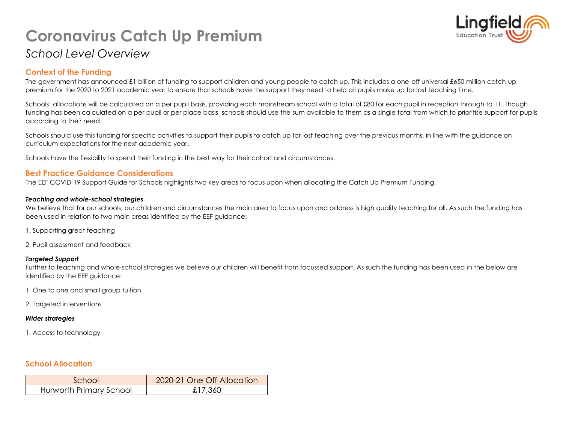# **Coronavirus Catch Up Premium** *School Level Overview*



### **Context of the Funding**

The government has announced £1 billion of funding to support children and young people to catch up. This includes a one-off universal £650 million catch-up premium for the 2020 to 2021 academic year to ensure that schools have the support they need to help all pupils make up for lost teaching time.

Schools' allocations will be calculated on a per pupil basis, providing each mainstream school with a total of £80 for each pupil in reception through to 11. Though funding has been calculated on a per pupil or per place basis, schools should use the sum available to them as a single total from which to prioritise support for pupils according to their need.

Schools should use this funding for specific activities to support their pupils to catch up for lost teaching over the previous months, in line with the guidance on curriculum expectations for the next academic year.

Schools have the flexibility to spend their funding in the best way for their cohort and circumstances.

#### **Best Practice Guidance Considerations**

The EEF COVID-19 Support Guide for Schools highlights two key areas to focus upon when allocating the Catch Up Premium Funding.

#### *Teaching and whole-school strategies*

We believe that for our schools, our children and circumstances the main area to focus upon and address is high quality teaching for all. As such the funding has been used in relation to two main areas identified by the EEF guidance:

- 1. Supporting great teaching
- 2. Pupil assessment and feedback

#### *Targeted Support*

Further to teaching and whole-school strategies we believe our children will benefit from focussed support. As such the funding has been used in the below are identified by the EEF guidance:

- 1. One to one and small group tuition
- 2. Targeted interventions

#### *Wider strategies*

1. Access to technology

#### **School Allocation**

| School                  | 2020-21 One Off Allocation |
|-------------------------|----------------------------|
| Hurworth Primary School | £17,360                    |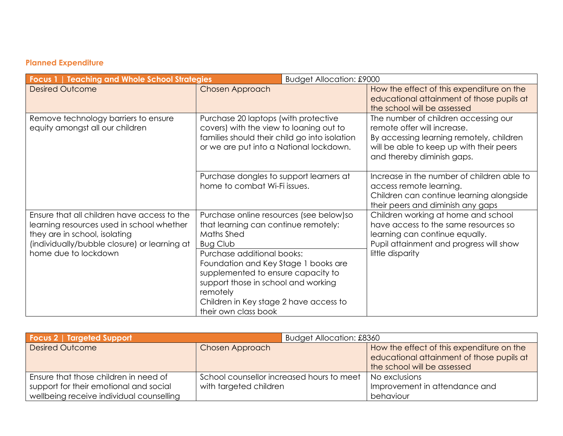## **Planned Expenditure**

| <b>Focus 1   Teaching and Whole School Strategies</b><br><b>Budget Allocation: £9000</b>                                                                                                          |                                                                                                                                                                                                                                                                                                                                                    |                                                                                                                                                                                           |
|---------------------------------------------------------------------------------------------------------------------------------------------------------------------------------------------------|----------------------------------------------------------------------------------------------------------------------------------------------------------------------------------------------------------------------------------------------------------------------------------------------------------------------------------------------------|-------------------------------------------------------------------------------------------------------------------------------------------------------------------------------------------|
| <b>Desired Outcome</b>                                                                                                                                                                            | Chosen Approach                                                                                                                                                                                                                                                                                                                                    | How the effect of this expenditure on the<br>educational attainment of those pupils at<br>the school will be assessed                                                                     |
| Remove technology barriers to ensure<br>equity amongst all our children                                                                                                                           | Purchase 20 laptops (with protective<br>covers) with the view to loaning out to<br>families should their child go into isolation<br>or we are put into a National lockdown.                                                                                                                                                                        | The number of children accessing our<br>remote offer will increase.<br>By accessing learning remotely, children<br>will be able to keep up with their peers<br>and thereby diminish gaps. |
|                                                                                                                                                                                                   | Purchase dongles to support learners at<br>home to combat Wi-Fi issues.                                                                                                                                                                                                                                                                            | Increase in the number of children able to<br>access remote learning.<br>Children can continue learning alongside<br>their peers and diminish any gaps                                    |
| Ensure that all children have access to the<br>learning resources used in school whether<br>they are in school, isolating<br>(individually/bubble closure) or learning at<br>home due to lockdown | Purchase online resources (see below) so<br>that learning can continue remotely:<br>Maths Shed<br><b>Bug Club</b><br>Purchase additional books:<br>Foundation and Key Stage 1 books are<br>supplemented to ensure capacity to<br>support those in school and working<br>remotely<br>Children in Key stage 2 have access to<br>their own class book | Children working at home and school<br>have access to the same resources so<br>learning can continue equally.<br>Pupil attainment and progress will show<br>little disparity              |

| <b>Focus 2   Targeted Support</b>        | Budget Allocation: £8360                  |                                           |
|------------------------------------------|-------------------------------------------|-------------------------------------------|
| <b>Desired Outcome</b>                   | Chosen Approach                           | How the effect of this expenditure on the |
|                                          |                                           | educational attainment of those pupils at |
|                                          |                                           | the school will be assessed               |
| Ensure that those children in need of    | School counsellor increased hours to meet | No exclusions                             |
| support for their emotional and social   | with targeted children                    | Improvement in attendance and             |
| wellbeing receive individual counselling |                                           | behaviour                                 |